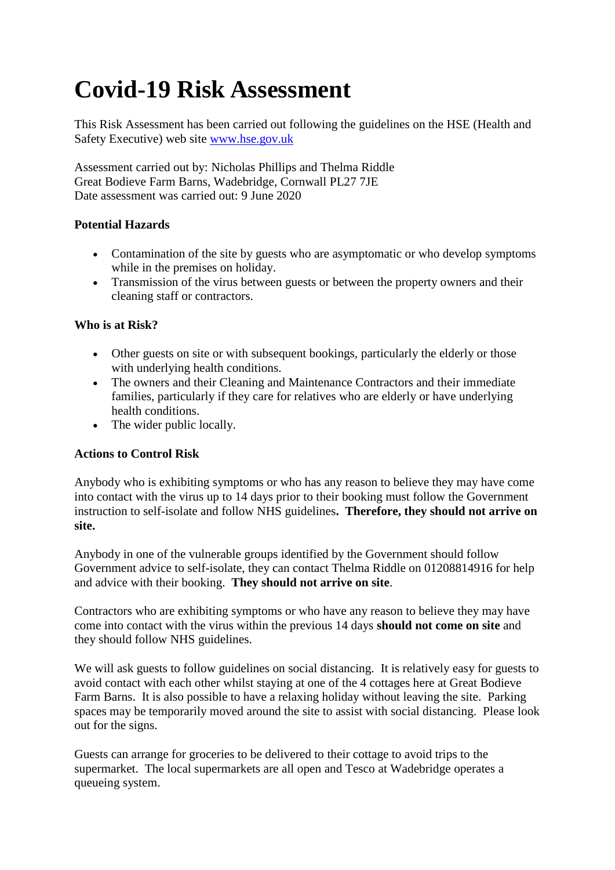# **Covid-19 Risk Assessment**

This Risk Assessment has been carried out following the guidelines on the HSE (Health and Safety Executive) web site [www.hse.gov.uk](http://www.hse.gov.uk/)

Assessment carried out by: Nicholas Phillips and Thelma Riddle Great Bodieve Farm Barns, Wadebridge, Cornwall PL27 7JE Date assessment was carried out: 9 June 2020

# **Potential Hazards**

- Contamination of the site by guests who are asymptomatic or who develop symptoms while in the premises on holiday.
- Transmission of the virus between guests or between the property owners and their cleaning staff or contractors.

# **Who is at Risk?**

- Other guests on site or with subsequent bookings, particularly the elderly or those with underlying health conditions.
- The owners and their Cleaning and Maintenance Contractors and their immediate families, particularly if they care for relatives who are elderly or have underlying health conditions.
- The wider public locally.

### **Actions to Control Risk**

Anybody who is exhibiting symptoms or who has any reason to believe they may have come into contact with the virus up to 14 days prior to their booking must follow the Government instruction to self-isolate and follow NHS guidelines**. Therefore, they should not arrive on site.**

Anybody in one of the vulnerable groups identified by the Government should follow Government advice to self-isolate, they can contact Thelma Riddle on 01208814916 for help and advice with their booking. **They should not arrive on site**.

Contractors who are exhibiting symptoms or who have any reason to believe they may have come into contact with the virus within the previous 14 days **should not come on site** and they should follow NHS guidelines.

We will ask guests to follow guidelines on social distancing. It is relatively easy for guests to avoid contact with each other whilst staying at one of the 4 cottages here at Great Bodieve Farm Barns. It is also possible to have a relaxing holiday without leaving the site. Parking spaces may be temporarily moved around the site to assist with social distancing. Please look out for the signs.

Guests can arrange for groceries to be delivered to their cottage to avoid trips to the supermarket. The local supermarkets are all open and Tesco at Wadebridge operates a queueing system.